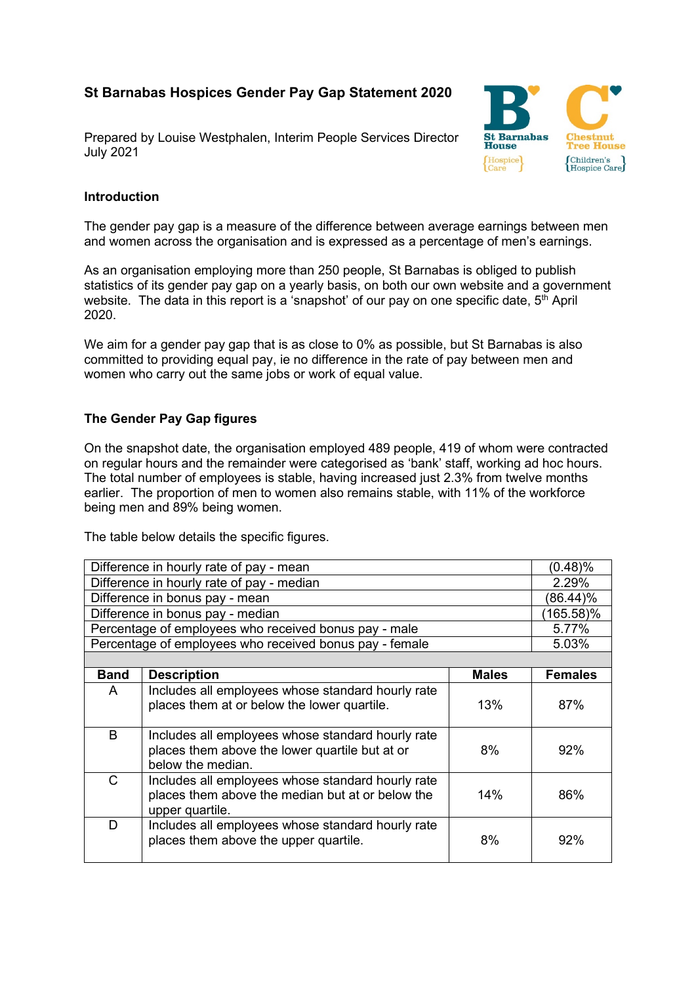# **St Barnabas Hospices Gender Pay Gap Statement 2020**

Prepared by Louise Westphalen, Interim People Services Director July 2021



## **Introduction**

The gender pay gap is a measure of the difference between average earnings between men and women across the organisation and is expressed as a percentage of men's earnings.

As an organisation employing more than 250 people, St Barnabas is obliged to publish statistics of its gender pay gap on a yearly basis, on both our own website and a government website. The data in this report is a 'snapshot' of our pay on one specific date,  $5<sup>th</sup>$  April 2020.

We aim for a gender pay gap that is as close to 0% as possible, but St Barnabas is also committed to providing equal pay, ie no difference in the rate of pay between men and women who carry out the same jobs or work of equal value.

### **The Gender Pay Gap figures**

On the snapshot date, the organisation employed 489 people, 419 of whom were contracted on regular hours and the remainder were categorised as 'bank' staff, working ad hoc hours. The total number of employees is stable, having increased just 2.3% from twelve months earlier. The proportion of men to women also remains stable, with 11% of the workforce being men and 89% being women.

The table below details the specific figures.

| Difference in hourly rate of pay - mean                 |                                                                                                                          |              | (0.48)%        |
|---------------------------------------------------------|--------------------------------------------------------------------------------------------------------------------------|--------------|----------------|
| Difference in hourly rate of pay - median               |                                                                                                                          |              | 2.29%          |
| Difference in bonus pay - mean                          |                                                                                                                          |              | (86.44)%       |
| Difference in bonus pay - median                        |                                                                                                                          |              | (165.58)%      |
| Percentage of employees who received bonus pay - male   |                                                                                                                          |              | 5.77%          |
| Percentage of employees who received bonus pay - female |                                                                                                                          |              | 5.03%          |
|                                                         |                                                                                                                          |              |                |
| <b>Band</b>                                             | <b>Description</b>                                                                                                       | <b>Males</b> | <b>Females</b> |
| A                                                       | Includes all employees whose standard hourly rate<br>places them at or below the lower quartile.                         | 13%          | 87%            |
| B                                                       | Includes all employees whose standard hourly rate<br>places them above the lower quartile but at or<br>below the median. | 8%           | 92%            |
| C                                                       | Includes all employees whose standard hourly rate<br>places them above the median but at or below the<br>upper quartile. | 14%          | 86%            |
| D                                                       | Includes all employees whose standard hourly rate<br>places them above the upper quartile.                               | 8%           | 92%            |